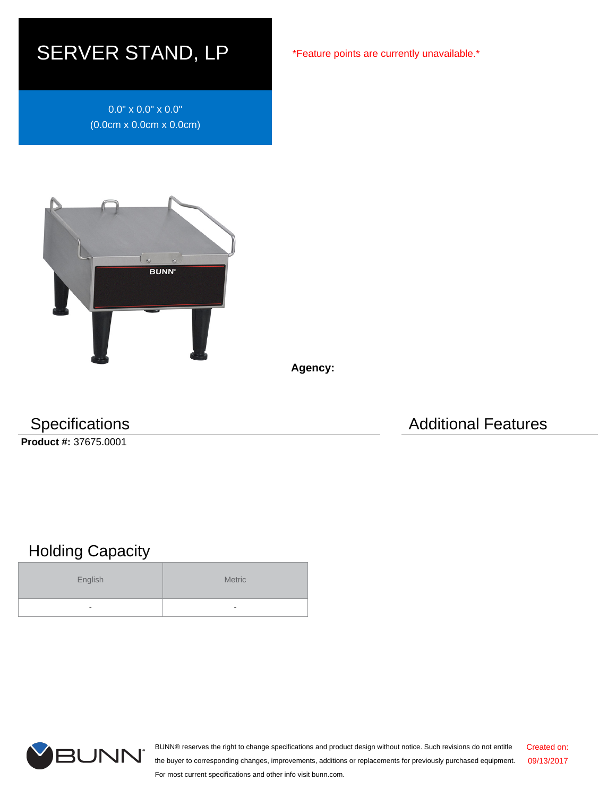## SERVER STAND, LP

0.0" x 0.0" x 0.0" (0.0cm x 0.0cm x 0.0cm)



**Agency:**

**Product #:** 37675.0001

Specifications **Additional Features** Additional Features

## Holding Capacity

| English | <b>Metric</b>            |
|---------|--------------------------|
| ٠       | $\overline{\phantom{a}}$ |



BUNN® reserves the right to change specifications and product design without notice. Such revisions do not entitle the buyer to corresponding changes, improvements, additions or replacements for previously purchased equipment. For most current specifications and other info visit bunn.com. Created on: 09/13/2017

\*Feature points are currently unavailable.\*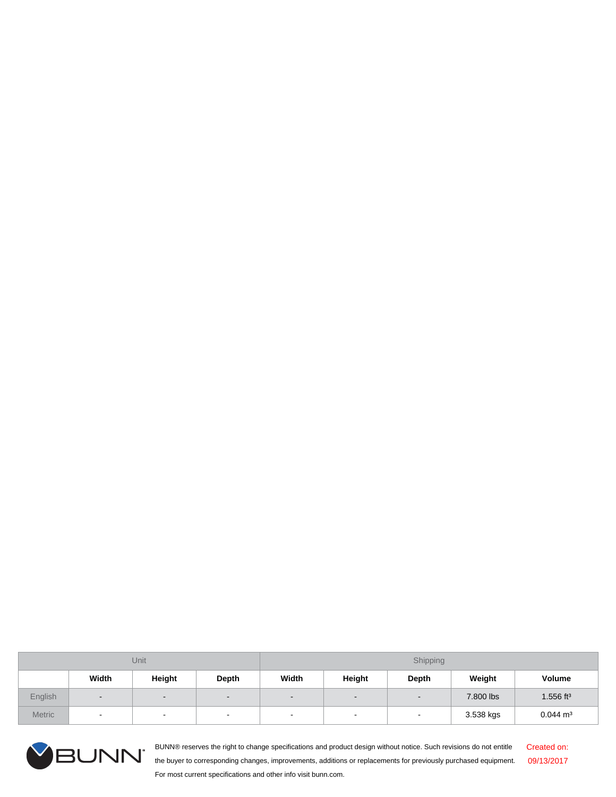| Unit          |                          |                          |                          | Shipping                 |                          |                          |           |                         |
|---------------|--------------------------|--------------------------|--------------------------|--------------------------|--------------------------|--------------------------|-----------|-------------------------|
|               | Width                    | Height                   | Depth                    | Width                    | Height                   | Depth                    | Weight    | <b>Volume</b>           |
| English       | $\overline{\phantom{0}}$ | $\overline{\phantom{0}}$ | $\overline{\phantom{0}}$ | $\overline{\phantom{0}}$ | $\overline{\phantom{0}}$ | $\overline{\phantom{a}}$ | 7.800 lbs | $1.556$ ft <sup>3</sup> |
| <b>Metric</b> | $\sim$                   | $\overline{\phantom{a}}$ | $\overline{\phantom{0}}$ | $\overline{\phantom{a}}$ | $\overline{\phantom{0}}$ | $\,$                     | 3.538 kgs | $0.044 \text{ m}^3$     |



BUNN® reserves the right to change specifications and product design without notice. Such revisions do not entitle the buyer to corresponding changes, improvements, additions or replacements for previously purchased equipment. For most current specifications and other info visit bunn.com. Created on: 09/13/2017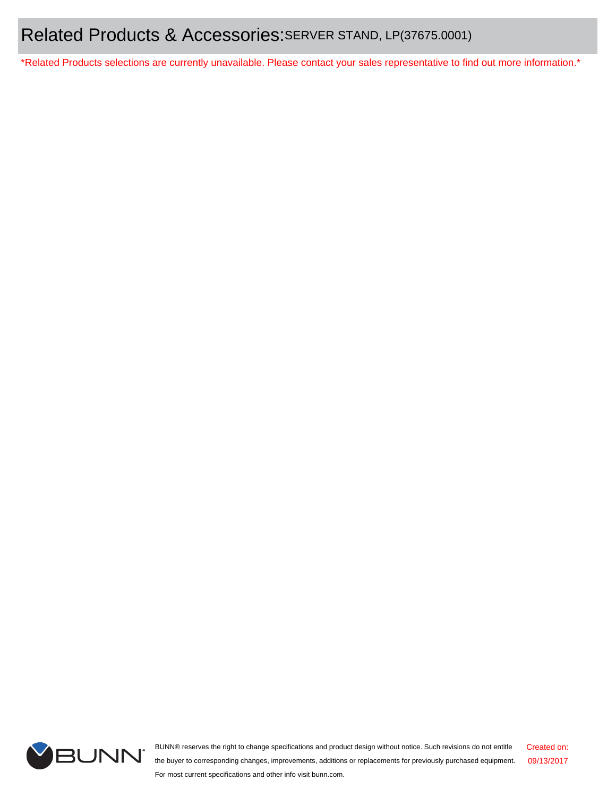\*Related Products selections are currently unavailable. Please contact your sales representative to find out more information.\*



BUNN® reserves the right to change specifications and product design without notice. Such revisions do not entitle the buyer to corresponding changes, improvements, additions or replacements for previously purchased equipment. For most current specifications and other info visit bunn.com. Created on: 09/13/2017